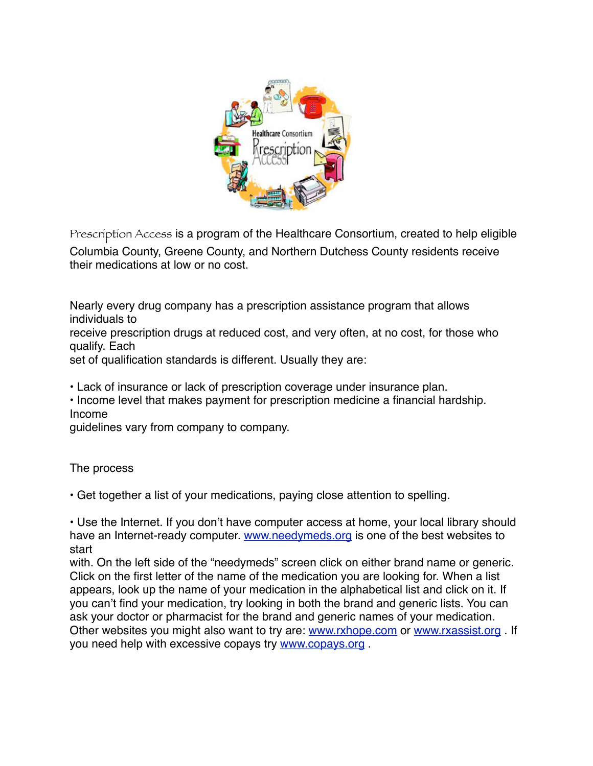

Prescription Access is a program of the Healthcare Consortium, created to help eligible Columbia County, Greene County, and Northern Dutchess County residents receive their medications at low or no cost.

Nearly every drug company has a prescription assistance program that allows individuals to

receive prescription drugs at reduced cost, and very often, at no cost, for those who qualify. Each

set of qualification standards is different. Usually they are:

• Lack of insurance or lack of prescription coverage under insurance plan.

• Income level that makes payment for prescription medicine a financial hardship. Income

guidelines vary from company to company.

## The process

• Get together a list of your medications, paying close attention to spelling.

• Use the Internet. If you don't have computer access at home, your local library should have an Internet-ready computer. [www.needymeds.org](http://www.needymeds.org) is one of the best websites to start

with. On the left side of the "needymeds" screen click on either brand name or generic. Click on the first letter of the name of the medication you are looking for. When a list appears, look up the name of your medication in the alphabetical list and click on it. If you can't find your medication, try looking in both the brand and generic lists. You can ask your doctor or pharmacist for the brand and generic names of your medication. Other websites you might also want to try are: [www.rxhope.com](http://www.rxhope.com) or [www.rxassist.org](http://www.rxassist.org) . If you need help with excessive copays try [www.copays.org](http://www.copays.org) .